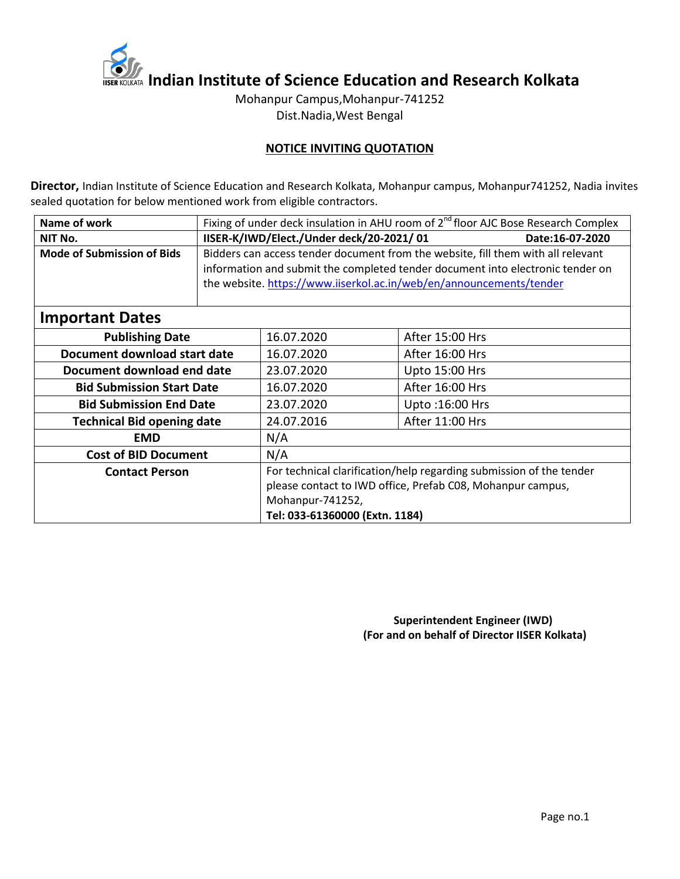

**IISER KOLKATA Indian Institute of Science Education and Research Kolkata** 

Mohanpur Campus,Mohanpur-741252 Dist.Nadia,West Bengal

### **NOTICE INVITING QUOTATION**

**Director,** Indian Institute of Science Education and Research Kolkata, Mohanpur campus, Mohanpur741252, Nadia invites sealed quotation for below mentioned work from eligible contractors.

| Name of work                      |  | Fixing of under deck insulation in AHU room of $2^{nd}$ floor AJC Bose Research Complex |                 |                 |  |  |  |
|-----------------------------------|--|-----------------------------------------------------------------------------------------|-----------------|-----------------|--|--|--|
| NIT No.                           |  | IISER-K/IWD/Elect./Under deck/20-2021/01                                                | Date:16-07-2020 |                 |  |  |  |
| <b>Mode of Submission of Bids</b> |  | Bidders can access tender document from the website, fill them with all relevant        |                 |                 |  |  |  |
|                                   |  | information and submit the completed tender document into electronic tender on          |                 |                 |  |  |  |
|                                   |  | the website. https://www.iiserkol.ac.in/web/en/announcements/tender                     |                 |                 |  |  |  |
|                                   |  |                                                                                         |                 |                 |  |  |  |
| <b>Important Dates</b>            |  |                                                                                         |                 |                 |  |  |  |
| <b>Publishing Date</b>            |  | 16.07.2020                                                                              | After 15:00 Hrs |                 |  |  |  |
| Document download start date      |  | 16.07.2020                                                                              | After 16:00 Hrs |                 |  |  |  |
| Document download end date        |  | 23.07.2020                                                                              |                 | Upto 15:00 Hrs  |  |  |  |
| <b>Bid Submission Start Date</b>  |  | 16.07.2020                                                                              |                 | After 16:00 Hrs |  |  |  |
| <b>Bid Submission End Date</b>    |  | 23.07.2020                                                                              | Upto: 16:00 Hrs |                 |  |  |  |
| <b>Technical Bid opening date</b> |  | 24.07.2016                                                                              | After 11:00 Hrs |                 |  |  |  |
| <b>EMD</b>                        |  | N/A                                                                                     |                 |                 |  |  |  |
| <b>Cost of BID Document</b>       |  | N/A                                                                                     |                 |                 |  |  |  |
| <b>Contact Person</b>             |  | For technical clarification/help regarding submission of the tender                     |                 |                 |  |  |  |
|                                   |  | please contact to IWD office, Prefab C08, Mohanpur campus,                              |                 |                 |  |  |  |
|                                   |  | Mohanpur-741252,                                                                        |                 |                 |  |  |  |
|                                   |  | Tel: 033-61360000 (Extn. 1184)                                                          |                 |                 |  |  |  |

 **Superintendent Engineer (IWD) (For and on behalf of Director IISER Kolkata)**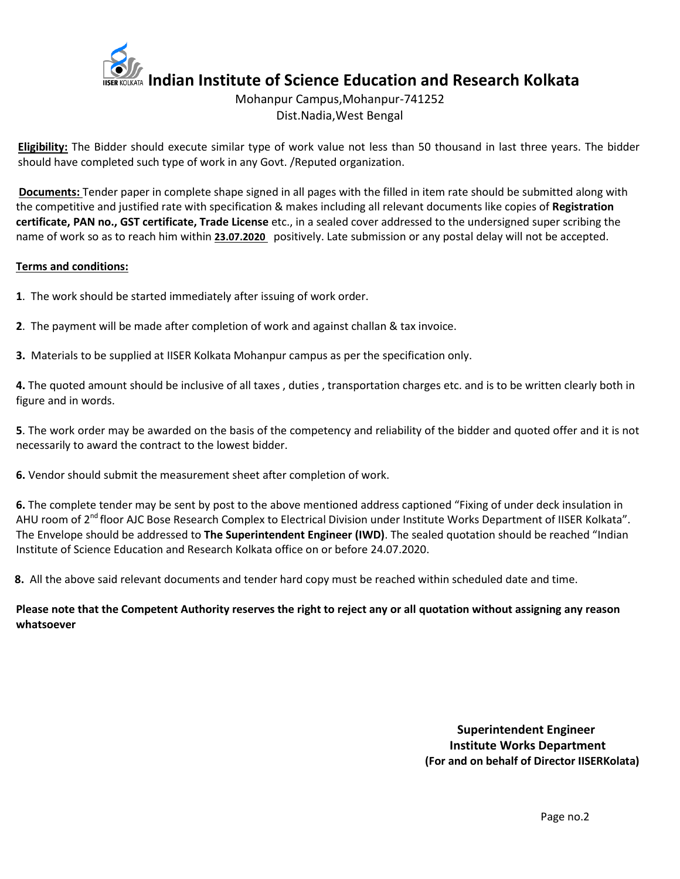

# Mohanpur Campus,Mohanpur-741252 Dist.Nadia,West Bengal

**Eligibility:** The Bidder should execute similar type of work value not less than 50 thousand in last three years. The bidder should have completed such type of work in any Govt. /Reputed organization.

**Documents:** Tender paper in complete shape signed in all pages with the filled in item rate should be submitted along with the competitive and justified rate with specification & makes including all relevant documents like copies of **Registration certificate, PAN no., GST certificate, Trade License** etc., in a sealed cover addressed to the undersigned super scribing the name of work so as to reach him within **23.07.2020** positively. Late submission or any postal delay will not be accepted.

#### **Terms and conditions:**

- **1**. The work should be started immediately after issuing of work order.
- **2**. The payment will be made after completion of work and against challan & tax invoice.
- **3.** Materials to be supplied at IISER Kolkata Mohanpur campus as per the specification only.

**4.** The quoted amount should be inclusive of all taxes , duties , transportation charges etc. and is to be written clearly both in figure and in words.

**5**. The work order may be awarded on the basis of the competency and reliability of the bidder and quoted offer and it is not necessarily to award the contract to the lowest bidder.

**6.** Vendor should submit the measurement sheet after completion of work.

**6.** The complete tender may be sent by post to the above mentioned address captioned "Fixing of under deck insulation in AHU room of 2<sup>nd</sup> floor AJC Bose Research Complex to Electrical Division under Institute Works Department of IISER Kolkata". The Envelope should be addressed to **The Superintendent Engineer (IWD)**. The sealed quotation should be reached "Indian Institute of Science Education and Research Kolkata office on or before 24.07.2020.

**8.** All the above said relevant documents and tender hard copy must be reached within scheduled date and time.

## **Please note that the Competent Authority reserves the right to reject any or all quotation without assigning any reason whatsoever**

 **Superintendent Engineer Institute Works Department (For and on behalf of Director IISERKolata)**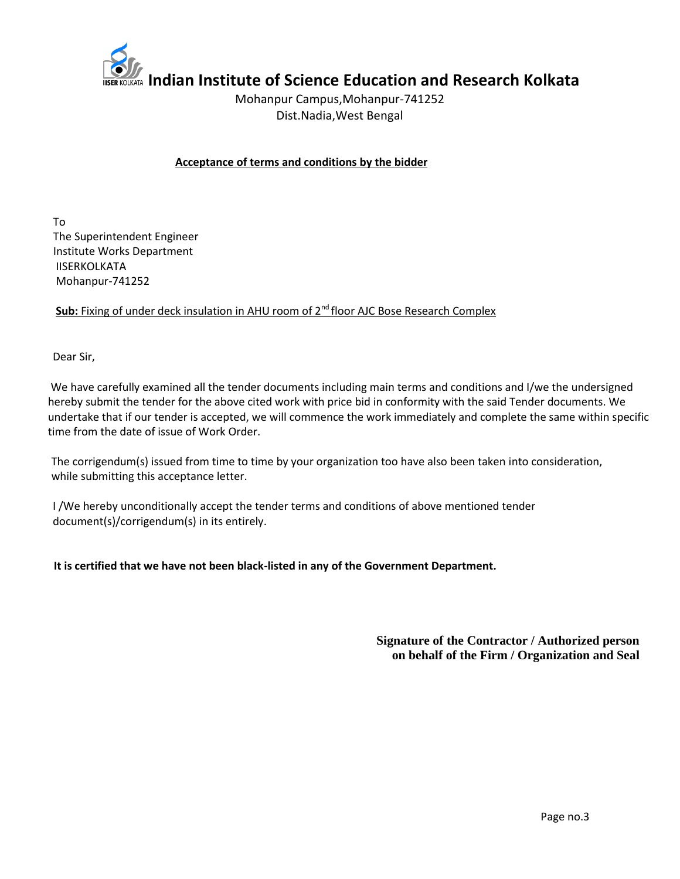

**Indian Institute of Science Education and Research Kolkata**

Mohanpur Campus,Mohanpur-741252 Dist.Nadia,West Bengal

## **Acceptance of terms and conditions by the bidder**

 To The Superintendent Engineer Institute Works Department IISERKOLKATA Mohanpur-741252

**Sub:** Fixing of under deck insulation in AHU room of 2<sup>nd</sup> floor AJC Bose Research Complex

Dear Sir,

We have carefully examined all the tender documents including main terms and conditions and I/we the undersigned hereby submit the tender for the above cited work with price bid in conformity with the said Tender documents. We undertake that if our tender is accepted, we will commence the work immediately and complete the same within specific time from the date of issue of Work Order.

 The corrigendum(s) issued from time to time by your organization too have also been taken into consideration, while submitting this acceptance letter.

 I /We hereby unconditionally accept the tender terms and conditions of above mentioned tender document(s)/corrigendum(s) in its entirely.

 **It is certified that we have not been black-listed in any of the Government Department.** 

**Signature of the Contractor / Authorized person on behalf of the Firm / Organization and Seal**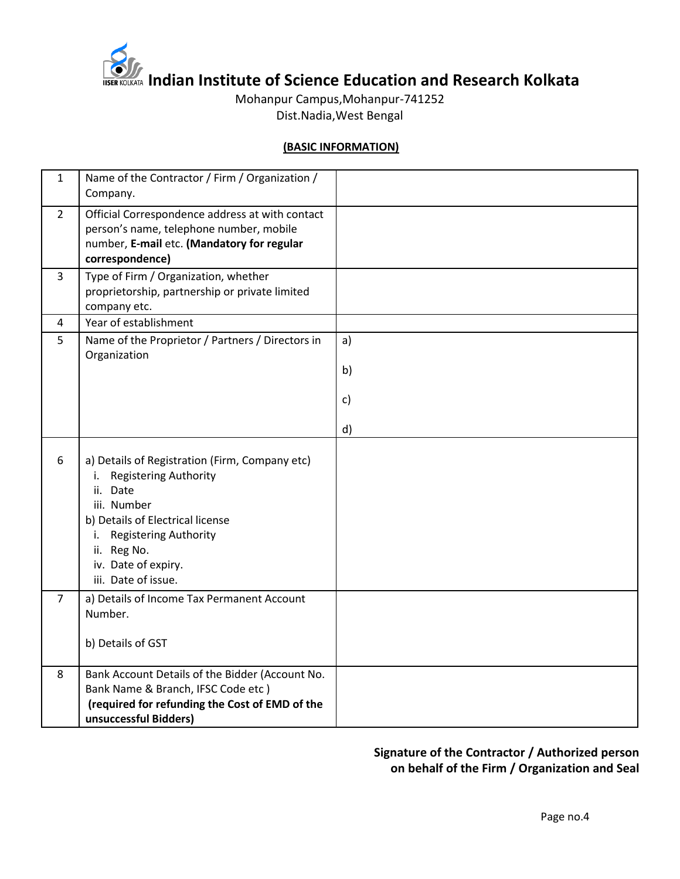

**ITSER KOLKATA Indian Institute of Science Education and Research Kolkata** 

Mohanpur Campus,Mohanpur-741252 Dist.Nadia,West Bengal

#### **(BASIC INFORMATION)**

| $\mathbf{1}$   | Name of the Contractor / Firm / Organization /<br>Company.                                                                                                                                                                                                |              |
|----------------|-----------------------------------------------------------------------------------------------------------------------------------------------------------------------------------------------------------------------------------------------------------|--------------|
| $2^{\circ}$    | Official Correspondence address at with contact<br>person's name, telephone number, mobile<br>number, E-mail etc. (Mandatory for regular<br>correspondence)                                                                                               |              |
| 3              | Type of Firm / Organization, whether<br>proprietorship, partnership or private limited<br>company etc.                                                                                                                                                    |              |
| $\overline{4}$ | Year of establishment                                                                                                                                                                                                                                     |              |
| 5              | Name of the Proprietor / Partners / Directors in                                                                                                                                                                                                          | a)           |
|                | Organization                                                                                                                                                                                                                                              | b)           |
|                |                                                                                                                                                                                                                                                           | $\mathsf{c}$ |
|                |                                                                                                                                                                                                                                                           | d)           |
| 6              | a) Details of Registration (Firm, Company etc)<br><b>Registering Authority</b><br>i.<br>Date<br>ii.<br>iii. Number<br>b) Details of Electrical license<br><b>Registering Authority</b><br>i.<br>ii. Reg No.<br>iv. Date of expiry.<br>iii. Date of issue. |              |
| $\overline{7}$ | a) Details of Income Tax Permanent Account<br>Number.                                                                                                                                                                                                     |              |
|                | b) Details of GST                                                                                                                                                                                                                                         |              |
| 8              | Bank Account Details of the Bidder (Account No.<br>Bank Name & Branch, IFSC Code etc)<br>(required for refunding the Cost of EMD of the<br>unsuccessful Bidders)                                                                                          |              |

# **Signature of the Contractor / Authorized person on behalf of the Firm / Organization and Seal**